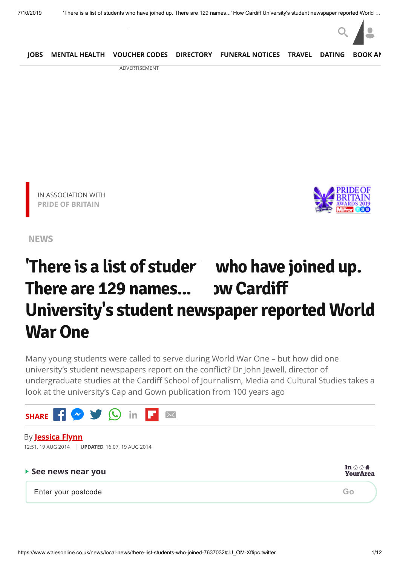

ADVERTISEMENT





**[NEWS](https://www.walesonline.co.uk/news/)**

# **'There is a list of students who have joined up. There** are 129 names... **DW** Cardiff **University's student newspaper reported World War One**

Many young students were called to serve during World War One – but how did one university's student newspapers report on the conflict? Dr John Jewell, director of undergraduate studies at the Cardiff School of Journalism, Media and Cultural Studies takes a look at the university's Cap and Gown publication from 100 years ago

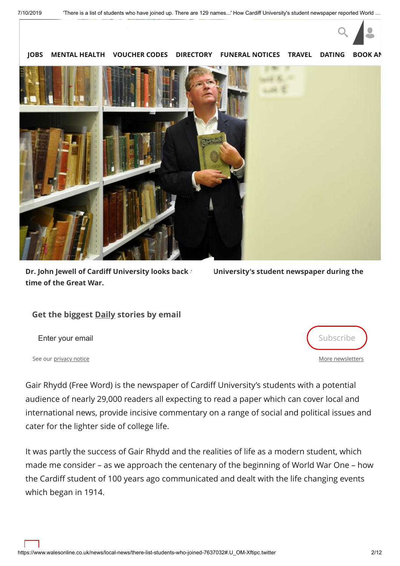

**Dr. John Jewell of Cardiff University looks back** *the University's student newspaper during the* **time of the Great War.**

#### **Get the biggest Daily stories by email**

Enter your email **Enter your email** 

See our [privacy notice](https://www.walesonline.co.uk/privacy-policy/)

[More newsletters](https://communicatoremail.com/IN/DCF/A8H9jAkG3nMZsLXGF91M1D/)

Gair Rhydd (Free Word) is the newspaper of Cardiff University's students with a potential audience of nearly 29,000 readers all expecting to read a paper which can cover local and international news, provide incisive commentary on a range of social and political issues and cater for the lighter side of college life.

It was partly the success of Gair Rhydd and the realities of life as a modern student, which made me consider – as we approach the centenary of the beginning of World War One – how the Cardiff student of 100 years ago communicated and dealt with the life changing events which began in 1914.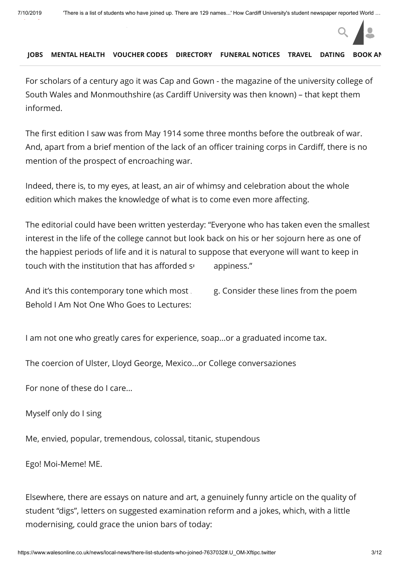For scholars of a century ago it was Cap and Gown - the magazine of the university college of South Wales and Monmouthshire (as Cardiff University was then known) – that kept them informed.

The first edition I saw was from May 1914 some three months before the outbreak of war. And, apart from a brief mention of the lack of an officer training corps in Cardiff, there is no mention of the prospect of encroaching war.

Indeed, there is, to my eyes, at least, an air of whimsy and celebration about the whole edition which makes the knowledge of what is to come even more affecting.

The editorial could have been written yesterday: "Everyone who has taken even the smallest interest in the life of the college cannot but look back on his or her sojourn here as one of the happiest periods of life and it is natural to suppose that everyone will want to keep in touch with the institution that has afforded  $s$  appiness."

And it's this contemporary tone which most  $\mathbf{r}$ ,  $\mathbf{r}$  consider these lines from the poem Behold I Am Not One Who Goes to Lectures:

I am not one who greatly cares for experience, soap...or a graduated income tax.

The coercion of Ulster, Lloyd George, Mexico...or College conversaziones

For none of these do I care...

Myself only do I sing

Me, envied, popular, tremendous, colossal, titanic, stupendous

Ego! Moi-Meme! ME.

Elsewhere, there are essays on nature and art, a genuinely funny article on the quality of student "digs", letters on suggested examination reform and a jokes, which, with a little modernising, could grace the union bars of today:

 $Q \parallel$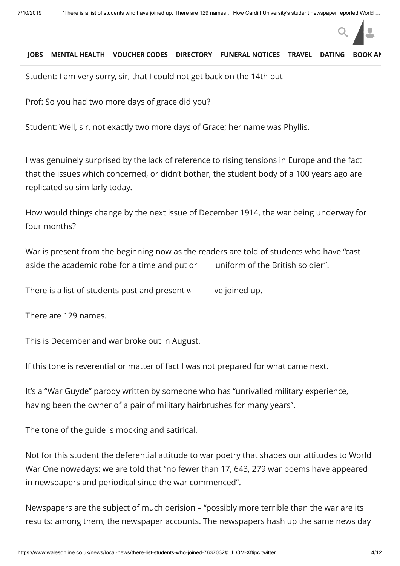Student: I am very sorry, sir, that I could not get back on the 14th but

Prof: So you had two more days of grace did you?

Student: Well, sir, not exactly two more days of Grace; her name was Phyllis.

I was genuinely surprised by the lack of reference to rising tensions in Europe and the fact that the issues which concerned, or didn't bother, the student body of a 100 years ago are replicated so similarly today.

How would things change by the next issue of December 1914, the war being underway for four months?

War is present from the beginning now as the readers are told of students who have "cast aside the academic robe for a time and put or uniform of the British soldier".

There is a list of students past and present  $w = v$ e joined up.

There are 129 names.

This is December and war broke out in August.

If this tone is reverential or matter of fact I was not prepared for what came next.

It's a "War Guyde" parody written by someone who has "unrivalled military experience, having been the owner of a pair of military hairbrushes for many years".

The tone of the guide is mocking and satirical.

Not for this student the deferential attitude to war poetry that shapes our attitudes to World War One nowadays: we are told that "no fewer than 17, 643, 279 war poems have appeared in newspapers and periodical since the war commenced".

Newspapers are the subject of much derision – "possibly more terrible than the war are its results: among them, the newspaper accounts. The newspapers hash up the same news day

 $Q \parallel$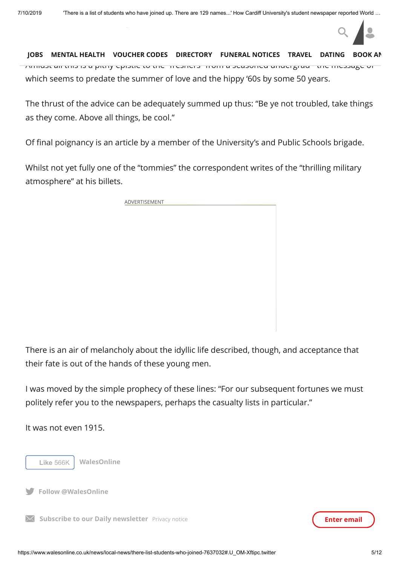Amidst all this is a pithy epistle to the "freshers" from a seasoned undergrad - the message of which seems to predate the summer of love and the hippy '60s by some 50 years. **[JOBS](https://www.fish4.co.uk/jobs/wales/?utm_source=tm-walesonline&utm_medium=referral&utm_campaign=navlink) [MENTAL HEALTH](https://timewith.co.uk/blog?utm_source=wales_online&utm_medium=nav_bar) [VOUCHER CODES](https://discountcode.mirror.co.uk/) [DIRECTORY](https://www.inyourarea.co.uk/localservices?branding=walesonline) [FUNERAL NOTICES](https://www.funeral-notices.co.uk/wales) [TRAVEL](https://www.walesonline.co.uk/special-features/holiday-deals-walesonline-travel-beach-14554645) [DATING](http://dating.walesonline.co.uk/) [BOOK AN](http://www.bookanad.com/regions/wales/)**

aft[er day and you decide th](https://www.walesonline.co.uk/)at to give up taking any until  $\alpha$ 

The thrust of the advice can be adequately summed up thus: "Be ye not troubled, take things as they come. Above all things, be cool."

Of final poignancy is an article by a member of the University's and Public Schools brigade.

Whilst not yet fully one of the "tommies" the correspondent writes of the "thrilling military atmosphere" at his billets.

ADVERTISEMENT

There is an air of melancholy about the idyllic life described, though, and acceptance that their fate is out of the hands of these young men.

I was moved by the simple prophecy of these lines: "For our subsequent fortunes we must politely refer you to the newspapers, perhaps the casualty lists in particular."

It was not even 1915.



**Follow @WalesOnline**

**Subscribe to our Daily newsletter** [Privacy notice](https://www.walesonline.co.uk/privacy-policy/) **Enter email Enter email** 

 $Q \parallel$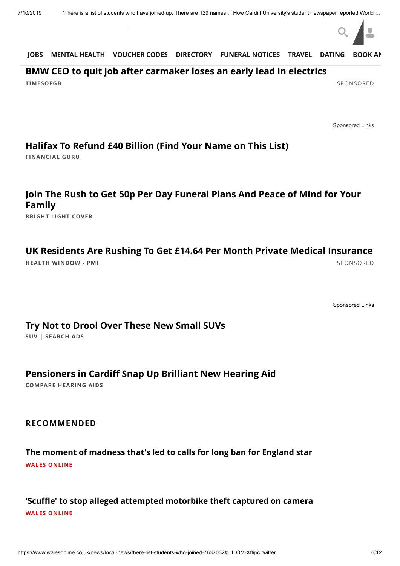

#### **[BMW CEO to quit job after carmaker loses an early lead in electrics](https://timesofgb.com/bmw-ceo-to-quit-after-carmaker-loses-an-early-lead-in-electrics/finance/?utm_source=taboola&utm_medium=referral&site=tmg-walesonline&siteid=1039315)**

**TIMESOFGB** [SPONSORED](https://popup.taboola.com/en/?template=colorbox&utm_source=tmg-walesonline&utm_medium=referral&utm_content=thumbnails-feed:Below%20Article%20Thumbnails%20Responsive%20Feed%20|%20Card%201:)

[Sponsored Links](https://popup.taboola.com/en/?template=colorbox&utm_source=tmg-walesonline&utm_medium=referral&utm_content=thumbnails-feed-a:Below%20Article%20Thumbnails%20Responsive%20Feed%20|%20Card%202:)

#### **[Halifax To Refund £40 Billion \(Find Your Name on This List\)](http://adtopia.club/native/track.php?acid=148&acsrc=1&acacnt=TABOOLA1A&cid=2449399&crvid=250341780&pubid=tmg-walesonline&ts=2019-07-10+13%3A37%3A15&title=Halifax+To+Refund+%C2%A340+Billion+%28Find+Your+Name+on+This+List%29&platform=Desktop&click_id=CjAyN2ViZThiNy04YmY0LTRiNmQtOGY5Ni1hYjBjY2QyYThmN2QtdHVjdDM5ZTI1MWYSCmltc2xhYnMtc2M&utm_source=taboola&utm_medium=referral)**

**FINANCIAL GURU**

## **[Join The Rush to Get 50p Per Day Funeral Plans And Peace of Mind for Your](https://magnetise.io/click?ad=1472&site=463&layoutType=in_banner&layout=2984&action=1636&_msai=tmg-walesonline&_msd=2019-07-10+13%3A37%3A15&utm_content=238177566) Family**

**BRIGHT LIGHT COVER**

#### **[UK Residents Are Rushing To Get £14.64 Per Month Private Medical Insurance](https://magnetise.io/click?ad=1481&site=463&layoutType=in_banner&layout=3051&action=1697&_msai=tmg-walesonline&_msd=CjAyN2ViZThiNy04YmY0LTRiNmQtOGY5Ni1hYjBjY2QyYThmN2QtdHVjdDM5ZTI1MWYSHm1hZ25ldGlzZW1lZGlhLWhlYWx0aHdpbmRvdy1zYw&utm_content=177823237)**

**HEALTH WINDOW - PMI** [SPONSORED](https://popup.taboola.com/en/?template=colorbox&utm_source=tmg-walesonline&utm_medium=referral&utm_content=thumbnails-feed:Below%20Article%20Thumbnails%20Responsive%20Feed%20|%20Card%203:)

[Sponsored Links](https://popup.taboola.com/en/?template=colorbox&utm_source=tmg-walesonline&utm_medium=referral&utm_content=thumbnails-feed-a:Below%20Article%20Thumbnails%20Responsive%20Feed%20|%20Card%204:)

#### **[Try Not to Drool Over These New Small SUVs](http://m.tracktechs.net/b8f61032-5f99-424b-95bb-ee0816109be4?subid1=tmg-walesonline&subid2=2331564&subid3=234286416&cid=CjAyN2ViZThiNy04YmY0LTRiNmQtOGY5Ni1hYjBjY2QyYThmN2QtdHVjdDM5ZTI1MWYSGWNhdGFseXN0YWR2ZXJ0aXNpbmctdWstc2M)**

**SUV | SEARCH ADS**

### **[Pensioners in Cardiff Snap Up Brilliant New Hearing Aid](http://comparehearingaids.org/news/?code=NATO&utm_source=Taboola&utm_medium=Native&utm_campaign=Taboola&utm_term=tmg-walesonline)**

**COMPARE HEARING AIDS**

#### **RECOMMENDED**

**[The moment of madness that's led to calls for long ban for England star](https://www.walesonline.co.uk/sport/rugby/alfie-barbeary-tackle-moment-madness-16380898?int_source=taboola&int_medium=display&int_campaign=organic) WALES ONLINE**

### **['Scuffle' to stop alleged attempted motorbike theft captured on camera](https://www.walesonline.co.uk/news/local-news/scuffle-stop-alleged-attempted-motorbike-14861591?int_source=taboola&int_medium=display&int_campaign=organic) WALES ONLINE**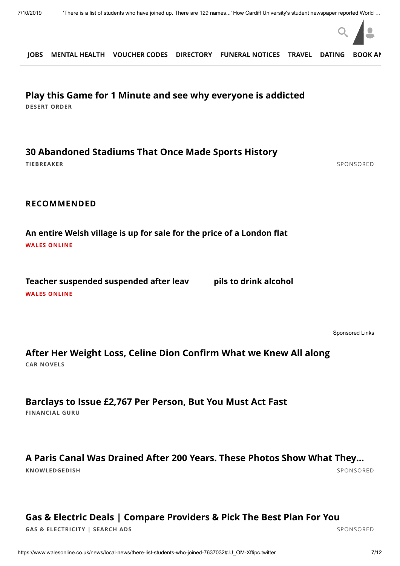

**DESERT ORDER [Play this Game for 1 Minute and see why everyone is addicted](https://www.desertorder.com/?r=tabdo1ena89&utm_source=taboola&utm_medium=referral)**

**[30 Abandoned Stadiums That Once Made Sports History](https://www.tiebreaker.com/abandoned-stadiums-that-will-haunt-your-tepid-soul/?utm_source=talas&utm_campaign=A_TS_TB_UK_D_AbandonedStadiums_v1_3005-30+Abandoned+Stadiums+That+Once+Made+Sports+History-https%3A%2F%2Fstorage.googleapis.com%2Fcaw-uploads%2F1d95f14ec4ba82e9a1c9648f233ef812.jpg&utm_term=tmg-walesonline&utm_medium=A_TS_TB_UK_D_AbandonedStadiums_v1_3005&utm_content=newnext)**

**TIEBREAKER** [SPONSORED](https://popup.taboola.com/en/?template=colorbox&utm_source=tmg-walesonline&utm_medium=referral&utm_content=thumbnails-feed:Below%20Article%20Thumbnails%20Responsive%20Feed%20|%20Card%208:)

**RECOMMENDED**

**[An entire Welsh village is up for sale for the price of a London flat](https://www.walesonline.co.uk/lifestyle/welsh-homes/entire-welsh-village-up-sale-14864154?int_source=taboola&int_medium=display&int_campaign=organic) WALES ONLINE**

**[Teacher suspended suspended after leaving pupils to drink alcohol](https://www.walesonline.co.uk/news/wales-news/popular-primary-school-teacher-suspended-14867309?int_source=taboola&int_medium=display&int_campaign=organic) WALES ONLINE**

[Sponsored Links](https://popup.taboola.com/en/?template=colorbox&utm_source=tmg-walesonline&utm_medium=referral&utm_content=thumbnails-feed-a:Below%20Article%20Thumbnails%20Responsive%20Feed%20|%20Card%2010:)

**CAR NOVELS [After Her Weight Loss, Celine Dion Confirm What we Knew All along](http://rfvtgb.carnovels.com/worldwide/celine-dion?utm_medium=taboola&utm_source=taboola&utm_campaign=ta-cn-celine-dion-des-uk-04069d&utm_term=tmg-walesonline)**

**FINANCIAL GURU [Barclays to Issue £2,767 Per Person, But You Must Act Fast](http://adtopia.club/native/track.php?acid=56&acsrc=1&acacnt=TABOOLA1TCG&cid=2444448&crvid=250004537&pubid=tmg-walesonline&ts=2019-07-10+13%3A37%3A15&title=Barclays+to+Issue+%C2%A32%2C767+Per+Person%2C+But+You+Must+Act+Fast&platform=Desktop&click_id=CjAyN2ViZThiNy04YmY0LTRiNmQtOGY5Ni1hYjBjY2QyYThmN2QtdHVjdDM5ZTI1MWYSE2ltc2xhYnMtcXVpY2twcGktc2M&utm_source=taboola&utm_medium=referral)**

# **[A Paris Canal Was Drained After 200 Years. These Photos Show What They…](https://knowledgedish.com/you-wont-believe-what-was-found-after-this-200-year-old-canal-was-drained/?utm_source=taboola&utm_campaign=t1-dt-kdsh-canal-tb&utm_medium=tmg-walesonline&utm_content=https%3A%2F%2Fconsole.prezna.com%2Fget%2Fa3H-5820222166171243866.jpg&utm_term=A+Paris+Canal+Was+Drained+After+200+Years.+These+Photos+Show+What+They+Found&layout=gallery&lp=1)**

**KNOWLEDGEDISH** [SPONSORED](https://popup.taboola.com/en/?template=colorbox&utm_source=tmg-walesonline&utm_medium=referral&utm_content=thumbnails-feed:Below%20Article%20Thumbnails%20Responsive%20Feed%20|%20Card%2011:)

**[Gas & Electric Deals | Compare Providers & Pick The Best Plan For You](https://uk.offersland.net/best/gas-and-electricity?utm_source=taboola&utm_medium=referral&pbid=tmg-walesonline&3id=3471880&device=c)**

**GAS & ELECTRICITY | SEARCH ADS** [SPONSORED](https://popup.taboola.com/en/?template=colorbox&utm_source=tmg-walesonline&utm_medium=referral&utm_content=thumbnails-feed:Below%20Article%20Thumbnails%20Responsive%20Feed%20|%20Card%2012:)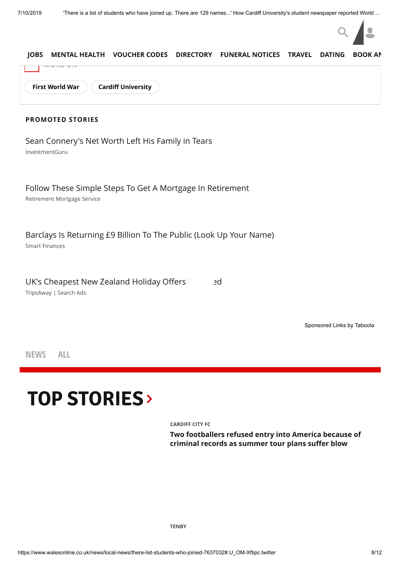

**NEWS ALL**

# **TOP [STORIES](https://www.walesonline.co.uk/)**

**[CARDIFF CITY FC](https://www.walesonline.co.uk/all-about/cardiff-city-fc)**

**[Two footballers refused entry into America because of](https://www.walesonline.co.uk/sport/football/football-news/two-cardiff-city-stars-refused-16561859) criminal records as summer tour plans suffer blow**

**[TENBY](https://www.walesonline.co.uk/all-about/tenby)**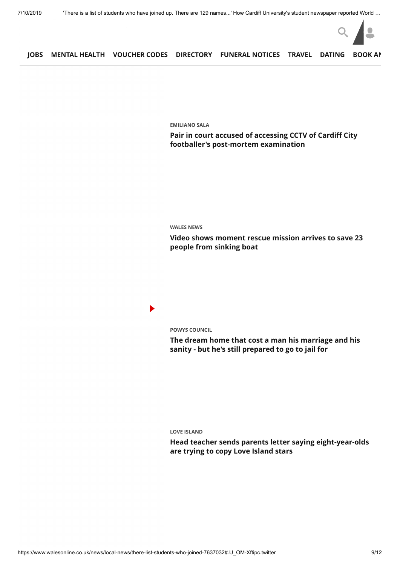

**[EMILIANO SALA](https://www.walesonline.co.uk/all-about/emiliano-sala)**

**[Pair in court accused of accessing CCTV of Cardiff City](https://www.walesonline.co.uk/sport/football/football-news/emiliano-sala-court-body-photos-16560832) footballer's post-mortem examination**

**[WALES NEWS](https://www.walesonline.co.uk/news/wales-news/)**

**[Video shows moment rescue mission arrives to save 23](https://www.walesonline.co.uk/news/wales-news/pembrokeshire-ramsay-island-coastguard-rescue-16561348) people from sinking boat**

 $\blacktriangleright$ 

**[POWYS COUNCIL](https://www.walesonline.co.uk/all-about/powys-council)**

**[The dream home that cost a man his marriage and his](https://www.walesonline.co.uk/news/wales-news/llandrindod-wells-kevin-mccloud-powys-16555005) sanity - but he's still prepared to go to jail for**

**[LOVE ISLAND](https://www.walesonline.co.uk/all-about/love-island)**

**[Head teacher sends parents letter saying eight-year-olds](https://www.walesonline.co.uk/news/education/head-teacher-sends-parents-letter-16559860) are trying to copy Love Island stars**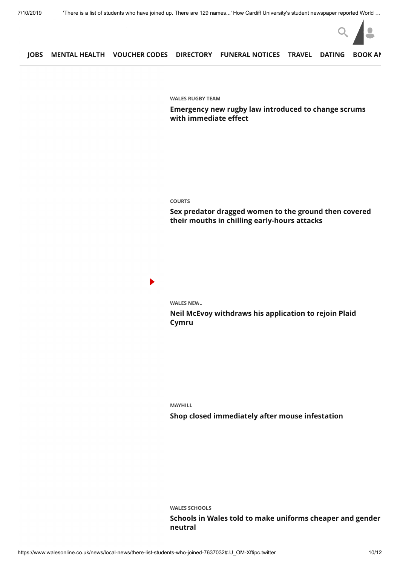

**[WALES RUGBY TEAM](https://www.walesonline.co.uk/all-about/wales-rugby-team)**

**[Emergency new rugby law introduced to change scrums](https://www.walesonline.co.uk/sport/rugby/rugby-news/emergency-new-rugby-law-introduced-16553781) with immediate effect**

#### **[COURTS](https://www.walesonline.co.uk/all-about/courts)**

**[Sex predator dragged women to the ground then covered](https://www.walesonline.co.uk/news/wales-news/joshua-jolly-sex-attacks-cardiff-16555928) their mouths in chilling early-hours attacks**

 $\blacktriangleright$ 

**WALES NEW.** 

**[Neil McEvoy withdraws his application to rejoin Plaid](https://www.walesonline.co.uk/news/wales-news/neil-mcevoy-plaid-cymru-cardiff-16562141) Cymru**

**[MAYHILL](https://www.walesonline.co.uk/all-about/mayhill) [Shop closed immediately after mouse infestation](https://www.walesonline.co.uk/news/wales-news/mouse-infestation-swansea-shop-closed-16558059)**

**[WALES SCHOOLS](https://www.walesonline.co.uk/all-about/wales-schools)**

**[Schools in Wales told to make uniforms cheaper and gender](https://www.walesonline.co.uk/news/education/schools-wales-uniform-logo-shorts-16558835) neutral**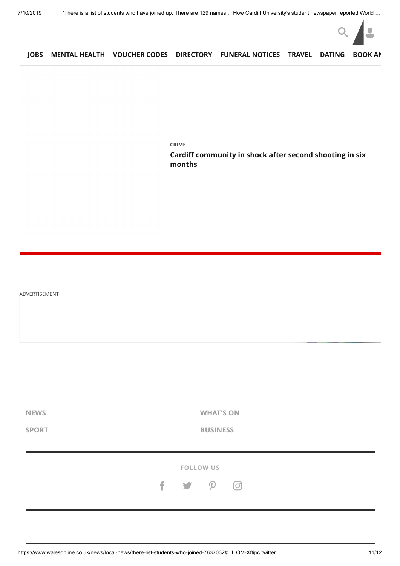

**[CRIME](https://www.walesonline.co.uk/all-about/crime)**

**[Cardiff community in shock after second shooting in six](https://www.walesonline.co.uk/news/wales-news/cardiff-community-shock-after-second-16555419) months**

| ADVERTISEMENT               |                                             |
|-----------------------------|---------------------------------------------|
|                             |                                             |
|                             |                                             |
|                             |                                             |
| <b>NEWS</b><br><b>SPORT</b> | <b>WHAT'S ON</b><br><b>BUSINESS</b>         |
|                             | FOLLOW US                                   |
|                             | $f \rightarrow$<br>$\mathcal{P}$<br>$\odot$ |